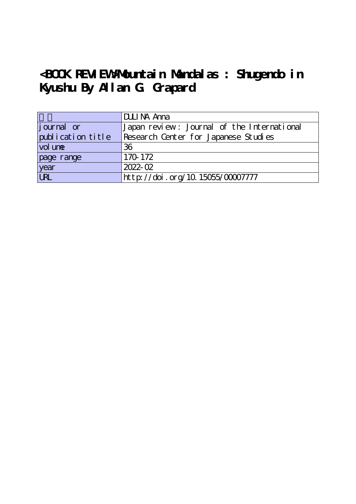## **<BOOK REVIEW>Mountain Mandalas : Shugendo in Kyushu By Allan G. Grapard**

|                     | DULINA Anna                                |
|---------------------|--------------------------------------------|
| journal or          | Japan review: Journal of the International |
| [publication title] | Research Center for Japanese Studies       |
| vol une             | 36                                         |
| page range          | 170-172                                    |
| year                | 2022-02                                    |
| URL                 | http://doi.org/10.15055/00007777           |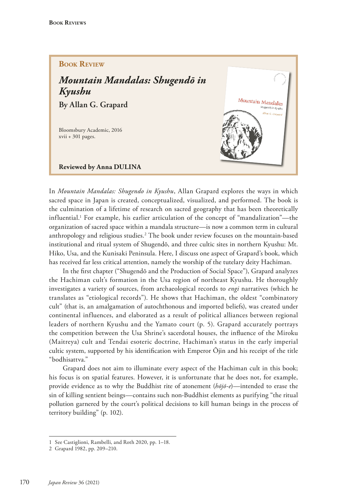## **Book Review**

## *Mountain Mandalas: Shugendō in Kyushu* **By Allan G. Grapard**

Bloomsbury Academic, 2016 xvii + 301 pages.

**Reviewed by Anna DULINA**



In *Mountain Mandalas: Shugendo in Kyushu*, Allan Grapard explores the ways in which sacred space in Japan is created, conceptualized, visualized, and performed. The book is the culmination of a lifetime of research on sacred geography that has been theoretically influential.1 For example, his earlier articulation of the concept of "mandalization"—the organization of sacred space within a mandala structure—is now a common term in cultural anthropology and religious studies.<sup>2</sup> The book under review focuses on the mountain-based institutional and ritual system of Shugendō, and three cultic sites in northern Kyushu: Mt. Hiko, Usa, and the Kunisaki Peninsula. Here, I discuss one aspect of Grapard's book, which has received far less critical attention, namely the worship of the tutelary deity Hachiman.

In the frst chapter ("Shugendō and the Production of Social Space"), Grapard analyzes the Hachiman cult's formation in the Usa region of northeast Kyushu. He thoroughly investigates a variety of sources, from archaeological records to *engi* narratives (which he translates as "etiological records"). He shows that Hachiman, the oldest "combinatory cult" (that is, an amalgamation of autochthonous and imported beliefs), was created under continental influences, and elaborated as a result of political alliances between regional leaders of northern Kyushu and the Yamato court (p. 5). Grapard accurately portrays the competition between the Usa Shrine's sacerdotal houses, the infuence of the Miroku (Maitreya) cult and Tendai esoteric doctrine, Hachiman's status in the early imperial cultic system, supported by his identifcation with Emperor Ojin and his receipt of the title "bodhisattva."

Grapard does not aim to illuminate every aspect of the Hachiman cult in this book; his focus is on spatial features. However, it is unfortunate that he does not, for example, provide evidence as to why the Buddhist rite of atonement (*hojō-e*)—intended to erase the sin of killing sentient beings—contains such non-Buddhist elements as purifying "the ritual pollution garnered by the court's political decisions to kill human beings in the process of territory building" (p. 102).

<sup>1</sup> See Castiglioni, Rambelli, and Roth 2020, pp. 1–18.

<sup>2</sup> Grapard 1982, pp. 209–210.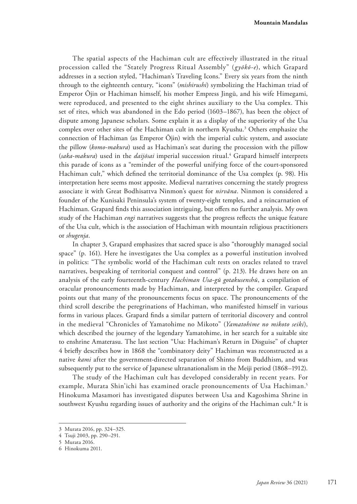**Mountain Mandalas**

The spatial aspects of the Hachiman cult are effectively illustrated in the ritual procession called the "Stately Progress Ritual Assembly" (*gyokō-e*), which Grapard addresses in a section styled, "Hachiman's Traveling Icons." Every six years from the ninth through to the eighteenth century, "icons" (*mishirushi*) symbolizing the Hachiman triad of Emperor Ōjin or Hachiman himself, his mother Empress Jingū, and his wife Himegami, were reproduced, and presented to the eight shrines auxiliary to the Usa complex. This set of rites, which was abandoned in the Edo period (1603–1867), has been the object of dispute among Japanese scholars. Some explain it as a display of the superiority of the Usa complex over other sites of the Hachiman cult in northern Kyushu.3 Others emphasize the connection of Hachiman (as Emperor Ōjin) with the imperial cultic system, and associate the pillow (*komo*-*makura*) used as Hachiman's seat during the procession with the pillow (*saka-makura*) used in the *daijōsai* imperial succession ritual.4 Grapard himself interprets this parade of icons as a "reminder of the powerful unifying force of the court-sponsored Hachiman cult," which defned the territorial dominance of the Usa complex (p. 98). His interpretation here seems most apposite. Medieval narratives concerning the stately progress associate it with Great Bodhisattva Ninmon's quest for *nirvana*. Ninmon is considered a founder of the Kunisaki Peninsula's system of twenty-eight temples, and a reincarnation of Hachiman. Grapard fnds this association intriguing, but ofers no further analysis. My own study of the Hachiman *engi* narratives suggests that the progress refects the unique feature of the Usa cult, which is the association of Hachiman with mountain religious practitioners or *shugenja*.

In chapter 3, Grapard emphasizes that sacred space is also "thoroughly managed social space" (p. 161). Here he investigates the Usa complex as a powerful institution involved in politics: "The symbolic world of the Hachiman cult rests on oracles related to travel narratives, bespeaking of territorial conquest and control" (p. 213). He draws here on an analysis of the early fourteenth-century *Hachiman Usa-gū gotakusenshū*, a compilation of oracular pronouncements made by Hachiman, and interpreted by the compiler. Grapard points out that many of the pronouncements focus on space. The pronouncements of the third scroll describe the peregrinations of Hachiman, who manifested himself in various forms in various places. Grapard fnds a similar pattern of territorial discovery and control in the medieval "Chronicles of Yamatohime no Mikoto" (*Yamatohime no mikoto seiki*), which described the journey of the legendary Yamatohime, in her search for a suitable site to enshrine Amaterasu. The last section "Usa: Hachiman's Return in Disguise" of chapter 4 briefy describes how in 1868 the "combinatory deity" Hachiman was reconstructed as a native *kami* after the government-directed separation of Shinto from Buddhism, and was subsequently put to the service of Japanese ultranationalism in the Meiji period (1868–1912).

The study of the Hachiman cult has developed considerably in recent years. For example, Murata Shin'ichi has examined oracle pronouncements of Usa Hachiman.<sup>5</sup> Hinokuma Masamori has investigated disputes between Usa and Kagoshima Shrine in southwest Kyushu regarding issues of authority and the origins of the Hachiman cult. $^6$  It is

<sup>3</sup> Murata 2016, pp. 324–325.

<sup>4</sup> Tsuji 2003, pp. 290–291.

<sup>5</sup> Murata 2016.

<sup>6</sup> Hinokuma 2011.